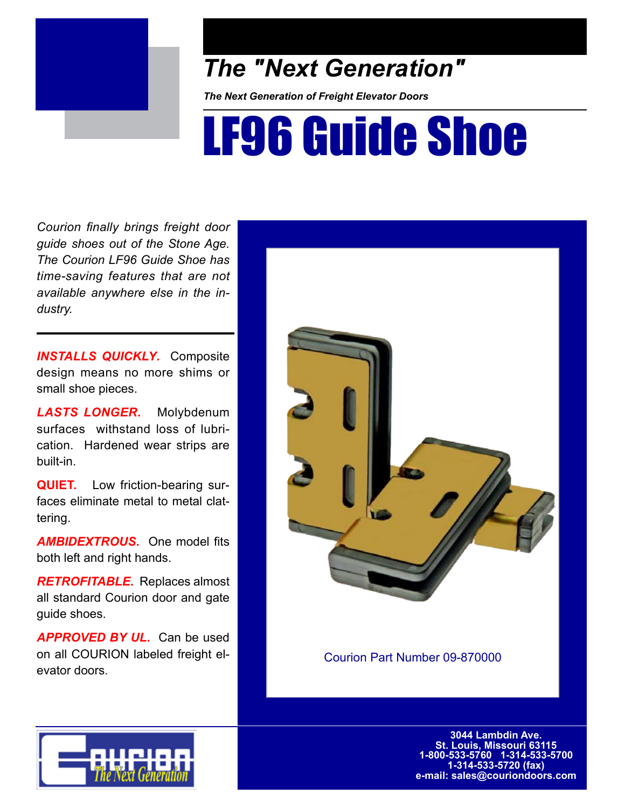

## *The "Next Generation"*

*The Next Generation of Freight Elevator Doors*

## LF96 Guide Shoe

*Courion finally brings freight door guide shoes out of the Stone Age. The Courion LF96 Guide Shoe has time-saving features that are not available anywhere else in the industry.* 

*INSTALLS QUICKLY***.** Composite design means no more shims or small shoe pieces.

*LASTS LONGER***.** Molybdenum surfaces withstand loss of lubrication. Hardened wear strips are built-in.

**QUIET.** Low friction-bearing surfaces eliminate metal to metal clattering.

*AMBIDEXTROUS***.** One model fits both left and right hands.

*RETROFITABLE***.** Replaces almost all standard Courion door and gate guide shoes.

*APPROVED BY UL***.** Can be used on all COURION labeled freight elevator doors.



Courion Part Number 09-870000



**3044 Lambdin Ave. St. Louis, Missouri 63115 1-800-533-5760 1-314-533-5700 1-314-533-5720 (fax) e-mail: sales@couriondoors.com**